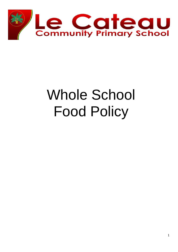

# Whole School Food Policy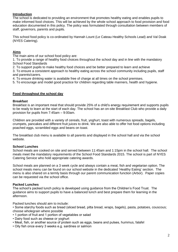# **Introduction**

The school is dedicated to providing an environment that promotes healthy eating and enables pupils to make informed food choices. This will be achieved by the whole school approach to food provision and food education documented in this policy. The policy was formulated through consultation between members of staff, governors, parents and pupils.

This school food policy is co-ordinated by Hannah Lount (Le Cateau Healthy Schools Lead) and Val Doak (NYES Catering).

# **Aims**

The main aims of our school food policy are:

1. To provide a range of healthy food choices throughout the school day and in line with the mandatory School Food Standards

2. To support pupils to make healthy food choices and be better prepared to learn and achieve

3. To ensure a consistent approach to healthy eating across the school community including pupils, staff and parents/carers.

4. To ensure drinking water is available free of charge at all times on the school premises.

5. To encourage and model good practice for children regarding table manners, health and hygiene.

### **Food throughout the school day**

#### **Breakfast**

Breakfast is an important meal that should provide 25% of a child's energy requirement and supports pupils to be ready to learn at the start of each day. The school has an on-site Breakfast Club who provide a daily provision for pupils from 7:45am – 9:00am.

Children are provided with a variety of cereals, fruit, yoghurt, toast with numerous spreads, bagels, crumpets, pancakes and different fruit juices to drink. We are also able to offer hot food options including poached eggs, scrambled eggs and beans on toast.

The breakfast club menu is available to all parents and displayed in the school hall and via the school website.

#### **School Lunches**

School meals are cooked on site and served between 11:45am and 1:15pm in the school hall. The school meals meet the mandatory requirements of the School Food Standards 2015. The school is part of NYES Catering Service who hold appropriate catering awards.

School meals are planned on a 3 week cycle and always contain a meat, fish and vegetarian option. The school meals menu can be found on our school website in the dedicated 'Healthy Eating' section. The menu is also shared on a termly basis through our parent communication function (Arbor). Paper copies can be requested via the school office.

### **Packed Lunches**

The school's packed lunch policy is developed using guidance from the Children's Food Trust. The guidance aims to support pupils to have a balanced lunch and best prepare them for learning in the afternoon.

Packed lunches should aim to include:

• Some starchy foods such as bread (sliced bread, pitta bread, wraps, bagels), pasta, potatoes, couscous; choose wholegrain where possible

- 1 portion of fruit and 1 portion of vegetables or salad
- Dairy food such as cheese or yoghurt
- Meat, fish, or another source of protein such as eggs, beans and pulses, hummus, falafel
- Oily fish once every 3 weeks e.g. sardines or salmon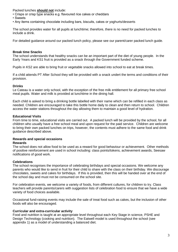Packed lunches **should not** include:

- Crisps or crisp type snacks e.g. flavoured rice cakes or cheddars
- Sweets
- Any items containing chocolate including bars, biscuits, cakes or yoghurts/desserts

The school provides water for all pupils at lunchtime; therefore, there is no need for packed lunches to include a drink.

For detailed guidance around our packed lunch policy, please see our parent/carer packed lunch guide.

## **Break time Snacks**

The school understands that healthy snacks can be an important part of the diet of young people. In the Early Years and KS1 fruit is provided as a snack through the Government funded scheme.

Pupils in KS2 are able to bring fruit or vegetable snacks allowed into school to eat at break times.

If a child attends PT After School they will be provided with a snack undert the terms and conditions of their provision.

# **Drinks**

Le Cateau is a water only school, with the exception of the free milk entitlement for all primary free school meal pupils. Water and milk is provided at lunchtime in the dining hall.

Each child is asked to bring a drinking bottle labelled with their name which can be refilled in each class as needed. Children are encouraged to take this bottle home daily to clean and then return to school. Children access the water stations throughout the day allowing them to maintain a good level of hydration.

# **Educational Visits**

From time to time, educational visits are carried out. A packed lunch will be provided by the school, for all children who usually have a free school meal and upon request for the paid service. Children are welcome to bring their own packed lunches on trips, however, the contents must adhere to the same food and drink guidance described above.

# **Rewards and special occasions**

### **Rewards**

The school does not allow food to be used as a reward for good behaviour or achievement. Other methods of positive reinforcement are used in school including: class points/tokens, achievement awards, Seesaw notifications of good work.

### **Celebrations**

The school recognises the importance of celebrating birthdays and special occasions. We welcome any parents who would like to send in fruit for their child to share with the class on their birthday. We discourage chocolates, sweets and cakes for birthdays. If this is provided, then this will be handed over at the end of the school day and must not be consumed on the school site.

For celebration events, we welcome a variety of foods, from different cultures, for children to try. Class teachers will provide parents/carers with suggestion lists of celebration food to ensure that we have a wide variety of food choices available.

Occasional fund-raising events may include the sale of treat food such as cakes, but the inclusion of other foods will also be encouraged.

### **Curricular and extra-curricular activity**

Food and nutrition is taught at an appropriate level throughout each Key Stage in science, PSHE and Design Technology (cooking and nutrition). The Eatwell model is used throughout the school (see appendix 1) as a model of understanding a balanced diet.